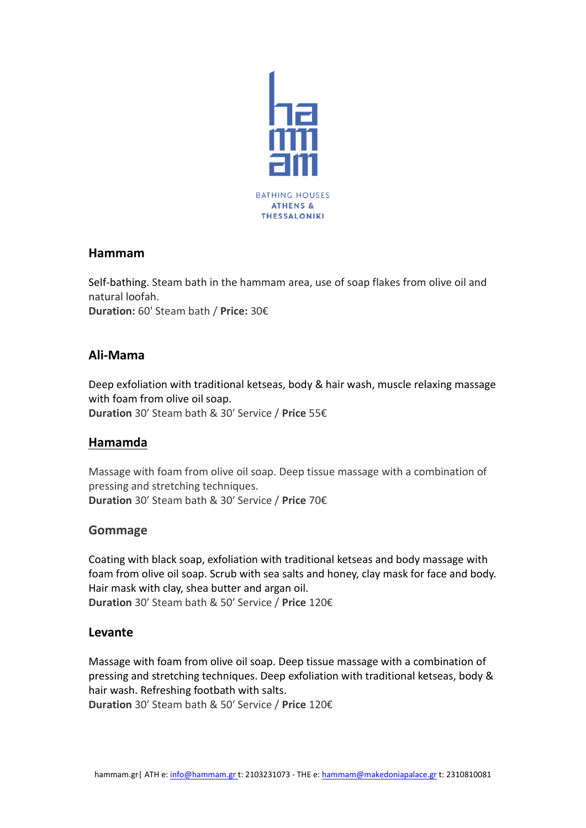

## **Hammam**

Self-bathing. Steam bath in the hammam area, use of soap flakes from olive oil and natural loofah. **Duration:** 60' Steam bath / **Price:** 30€

# **Ali-Mama**

Deep exfoliation with traditional ketseas, body & hair wash, muscle relaxing massage with foam from olive oil soap. **Duration** 30′ Steam bath & 30′ Service / **Price** 55€

# **Hamamda**

Massage with foam from olive oil soap. Deep tissue massage with a combination of pressing and stretching techniques. **Duration** 30′ Steam bath & 30′ Service / **Price** 70€

## **Gommage**

Coating with black soap, exfoliation with traditional ketseas and body massage with foam from olive oil soap. Scrub with sea salts and honey, clay mask for face and body. Hair mask with clay, shea butter and argan oil. **Duration** 30′ Steam bath & 50′ Service / **Price** 120€

## **Levante**

Massage with foam from olive oil soap. Deep tissue massage with a combination of pressing and stretching techniques. Deep exfoliation with traditional ketseas, body & hair wash. Refreshing footbath with salts. **Duration** 30′ Steam bath & 50′ Service / **Price** 120€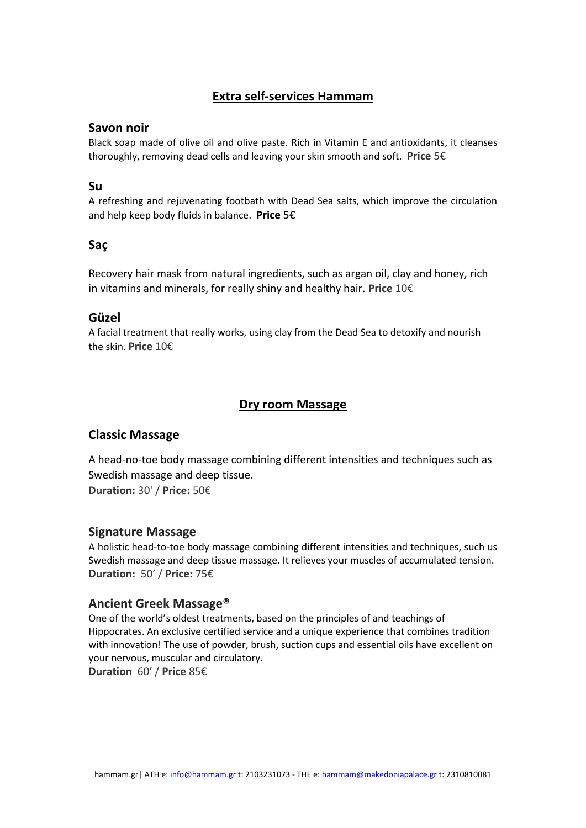# **Extra self-services Hammam**

### **Savon noir**

Black soap made of olive oil and olive paste. Rich in Vitamin E and antioxidants, it cleanses thoroughly, removing dead cells and leaving your skin smooth and soft. **Price** 5€

### **Su**

A refreshing and rejuvenating footbath with Dead Sea salts, which improve the circulation and help keep body fluids in balance. **Price** 5€

## **Saç**

Recovery hair mask from natural ingredients, such as argan oil, clay and honey, rich in vitamins and minerals, for really shiny and healthy hair. **Price** 10€

## **Güzel**

A facial treatment that really works, using clay from the Dead Sea to detoxify and nourish the skin. **Price** 10€

## **Dry room Massage**

## **Classic Massage**

A head-no-toe body massage combining different intensities and techniques such as Swedish massage and deep tissue. **Duration:** 30' / **Price:** 50€

### **Signature Massage**

A holistic head-to-toe body massage combining different intensities and techniques, such us Swedish massage and deep tissue massage. It relieves your muscles of accumulated tension. **Duration:** 50′ / **Price:** 75€

### **Ancient Greek Massage®**

One of the world's oldest treatments, based on the principles of and teachings of Hippocrates. An exclusive certified service and a unique experience that combines tradition with innovation! The use of powder, brush, suction cups and essential oils have excellent on your nervous, muscular and circulatory. **Duration** 60′ / **Price** 85€